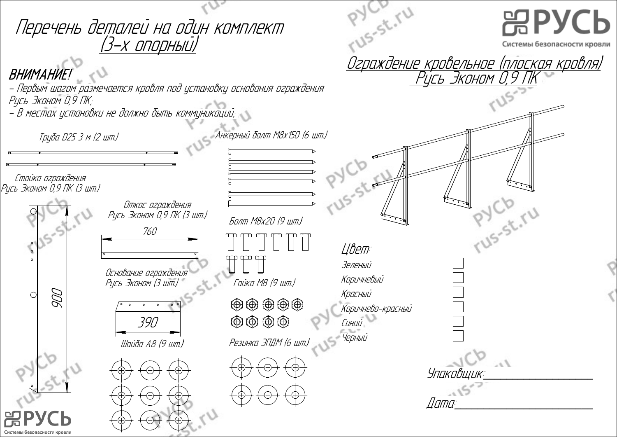PYCL TU 뭐PУCЬ Перечень деталей на один комплект <u>(3-х опор</u>ный) Системы безопасности кровли Ограждение кровельное (плоская кровля) ВНИМАНИЕ!  $\vee$ Русь Эконом 0,9 ПК - Первым шагом размечается кровля под установку основания ограждения Русь Эконом 0,9 ПК; - В местах установки не должно быть коммуникаций; (9 - <sup>В</sup> местах не должно быть Анкерный болт М8х150 (6 шт.) Труба D25 3 м (2 шт.) PYCD Стойка ограждения Русь Эконом 0,9 ПК (3 шт.) Pycb ru Откос ограждения Русь Эконом 0,9 ПК (3 шт.) Болт М8х20 (9 шт.) 760 Цвет: Зеленый Основание ограждения Коричневый Гайка М8 (9 шт.) Русь Эконом (3 шт.) 900 Красный  $\textcircled{\tiny{\textcircled{\tiny{D}}}} \textcircled{\tiny{\textcircled{\tiny{D}}}} \textcircled{\tiny{\textcircled{\tiny{D}}}} \textcircled{\tiny{\textcircled{\tiny{D}}}}$ Коричнево-красный  $\circledcirc \circledcirc \circledcirc$ 390 Синий Черный Резинка ЭПДМ (6 шт.) Шайба А8 (9 шт.) Упаковщик:\_\_\_\_\_\_\_\_\_\_\_\_\_\_\_\_\_\_\_ Дата